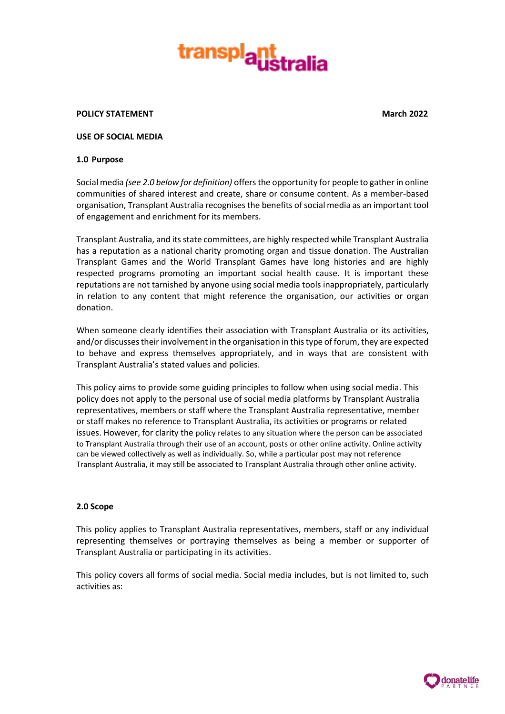

#### **POLICY STATEMENT March 2022**

#### **USE OF SOCIAL MEDIA**

#### **1.0 Purpose**

Social media *(see 2.0 below for definition)* offers the opportunity for people to gather in online communities of shared interest and create, share or consume content. As a member-based organisation, Transplant Australia recognises the benefits of social media as an important tool of engagement and enrichment for its members.

Transplant Australia, and its state committees, are highly respected while Transplant Australia has a reputation as a national charity promoting organ and tissue donation. The Australian Transplant Games and the World Transplant Games have long histories and are highly respected programs promoting an important social health cause. It is important these reputations are not tarnished by anyone using social media tools inappropriately, particularly in relation to any content that might reference the organisation, our activities or organ donation.

When someone clearly identifies their association with Transplant Australia or its activities, and/or discusses their involvement in the organisation in this type of forum, they are expected to behave and express themselves appropriately, and in ways that are consistent with Transplant Australia's stated values and policies.

This policy aims to provide some guiding principles to follow when using social media. This policy does not apply to the personal use of social media platforms by Transplant Australia representatives, members or staff where the Transplant Australia representative, member or staff makes no reference to Transplant Australia, its activities or programs or related issues. However, for clarity the policy relates to any situation where the person can be associated to Transplant Australia through their use of an account, posts or other online activity. Online activity can be viewed collectively as well as individually. So, while a particular post may not reference Transplant Australia, it may still be associated to Transplant Australia through other online activity.

#### **2.0 Scope**

This policy applies to Transplant Australia representatives, members, staff or any individual representing themselves or portraying themselves as being a member or supporter of Transplant Australia or participating in its activities.

This policy covers all forms of social media. Social media includes, but is not limited to, such activities as:

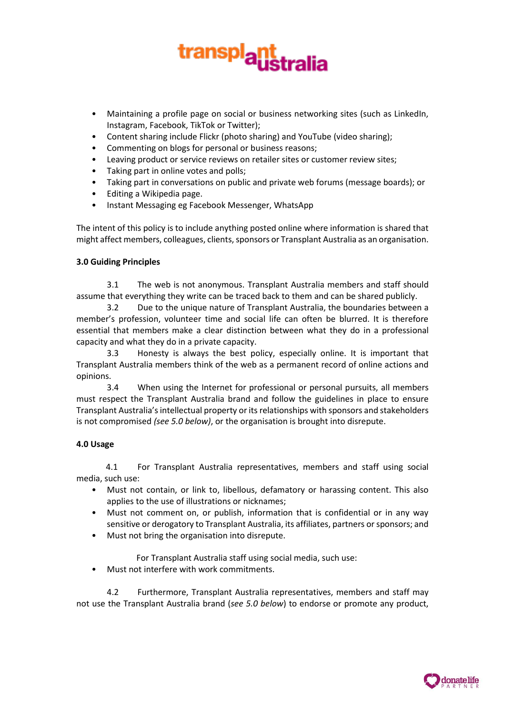

- Maintaining a profile page on social or business networking sites (such as LinkedIn, Instagram, Facebook, TikTok or Twitter);
- Content sharing include Flickr (photo sharing) and YouTube (video sharing);
- Commenting on blogs for personal or business reasons;
- Leaving product or service reviews on retailer sites or customer review sites;
- Taking part in online votes and polls;
- Taking part in conversations on public and private web forums (message boards); or
- Editing a Wikipedia page.
- Instant Messaging eg Facebook Messenger, WhatsApp

The intent of this policy is to include anything posted online where information is shared that might affect members, colleagues, clients, sponsors or Transplant Australia as an organisation.

# **3.0 Guiding Principles**

3.1 The web is not anonymous. Transplant Australia members and staff should assume that everything they write can be traced back to them and can be shared publicly.

3.2 Due to the unique nature of Transplant Australia, the boundaries between a member's profession, volunteer time and social life can often be blurred. It is therefore essential that members make a clear distinction between what they do in a professional capacity and what they do in a private capacity.

3.3 Honesty is always the best policy, especially online. It is important that Transplant Australia members think of the web as a permanent record of online actions and opinions.

3.4 When using the Internet for professional or personal pursuits, all members must respect the Transplant Australia brand and follow the guidelines in place to ensure Transplant Australia's intellectual property or its relationships with sponsors and stakeholders is not compromised *(see 5.0 below)*, or the organisation is brought into disrepute.

### **4.0 Usage**

4.1 For Transplant Australia representatives, members and staff using social media, such use:

- Must not contain, or link to, libellous, defamatory or harassing content. This also applies to the use of illustrations or nicknames;
- Must not comment on, or publish, information that is confidential or in any way sensitive or derogatory to Transplant Australia, its affiliates, partners or sponsors; and
- Must not bring the organisation into disrepute.

For Transplant Australia staff using social media, such use:

• Must not interfere with work commitments.

4.2 Furthermore, Transplant Australia representatives, members and staff may not use the Transplant Australia brand (*see 5.0 below*) to endorse or promote any product,

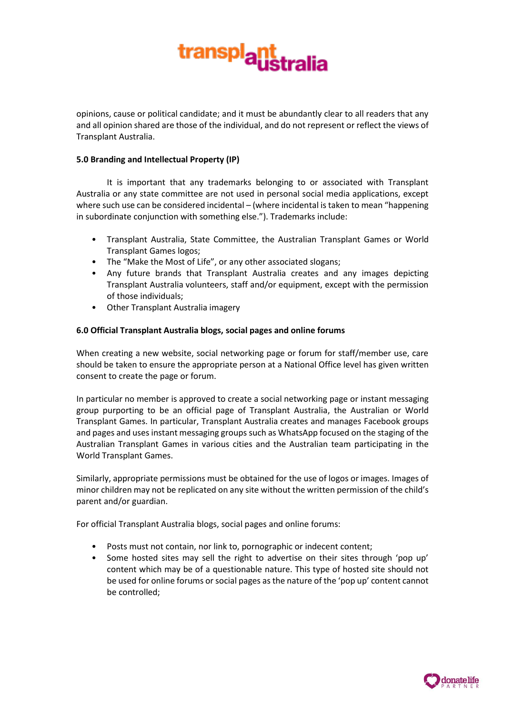

opinions, cause or political candidate; and it must be abundantly clear to all readers that any and all opinion shared are those of the individual, and do not represent or reflect the views of Transplant Australia.

### **5.0 Branding and Intellectual Property (IP)**

It is important that any trademarks belonging to or associated with Transplant Australia or any state committee are not used in personal social media applications, except where such use can be considered incidental – (where incidental is taken to mean "happening in subordinate conjunction with something else."). Trademarks include:

- Transplant Australia, State Committee, the Australian Transplant Games or World Transplant Games logos;
- The "Make the Most of Life", or any other associated slogans;
- Any future brands that Transplant Australia creates and any images depicting Transplant Australia volunteers, staff and/or equipment, except with the permission of those individuals;
- Other Transplant Australia imagery

### **6.0 Official Transplant Australia blogs, social pages and online forums**

When creating a new website, social networking page or forum for staff/member use, care should be taken to ensure the appropriate person at a National Office level has given written consent to create the page or forum.

In particular no member is approved to create a social networking page or instant messaging group purporting to be an official page of Transplant Australia, the Australian or World Transplant Games. In particular, Transplant Australia creates and manages Facebook groups and pages and uses instant messaging groups such as WhatsApp focused on the staging of the Australian Transplant Games in various cities and the Australian team participating in the World Transplant Games.

Similarly, appropriate permissions must be obtained for the use of logos or images. Images of minor children may not be replicated on any site without the written permission of the child's parent and/or guardian.

For official Transplant Australia blogs, social pages and online forums:

- Posts must not contain, nor link to, pornographic or indecent content;
- Some hosted sites may sell the right to advertise on their sites through 'pop up' content which may be of a questionable nature. This type of hosted site should not be used for online forums or social pages as the nature of the 'pop up' content cannot be controlled;

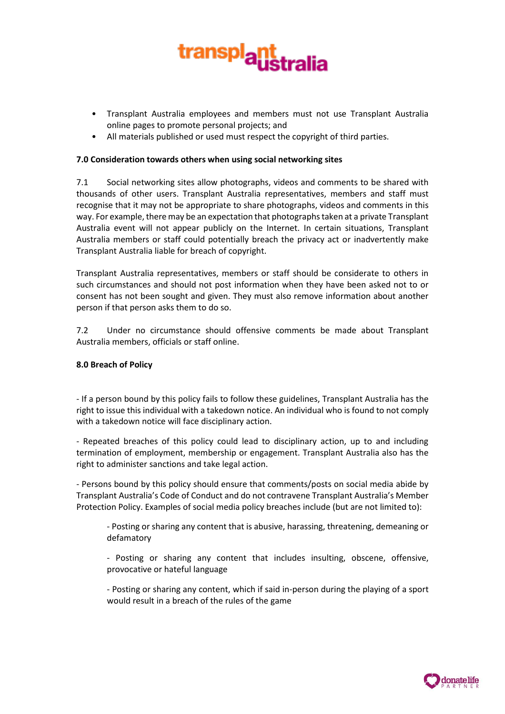

- Transplant Australia employees and members must not use Transplant Australia online pages to promote personal projects; and
- All materials published or used must respect the copyright of third parties.

## **7.0 Consideration towards others when using social networking sites**

7.1 Social networking sites allow photographs, videos and comments to be shared with thousands of other users. Transplant Australia representatives, members and staff must recognise that it may not be appropriate to share photographs, videos and comments in this way. For example, there may be an expectation that photographs taken at a private Transplant Australia event will not appear publicly on the Internet. In certain situations, Transplant Australia members or staff could potentially breach the privacy act or inadvertently make Transplant Australia liable for breach of copyright.

Transplant Australia representatives, members or staff should be considerate to others in such circumstances and should not post information when they have been asked not to or consent has not been sought and given. They must also remove information about another person if that person asks them to do so.

7.2 Under no circumstance should offensive comments be made about Transplant Australia members, officials or staff online.

### **8.0 Breach of Policy**

- If a person bound by this policy fails to follow these guidelines, Transplant Australia has the right to issue this individual with a takedown notice. An individual who is found to not comply with a takedown notice will face disciplinary action.

- Repeated breaches of this policy could lead to disciplinary action, up to and including termination of employment, membership or engagement. Transplant Australia also has the right to administer sanctions and take legal action.

- Persons bound by this policy should ensure that comments/posts on social media abide by Transplant Australia's Code of Conduct and do not contravene Transplant Australia's Member Protection Policy. Examples of social media policy breaches include (but are not limited to):

- Posting or sharing any content that is abusive, harassing, threatening, demeaning or defamatory

- Posting or sharing any content that includes insulting, obscene, offensive, provocative or hateful language

- Posting or sharing any content, which if said in-person during the playing of a sport would result in a breach of the rules of the game